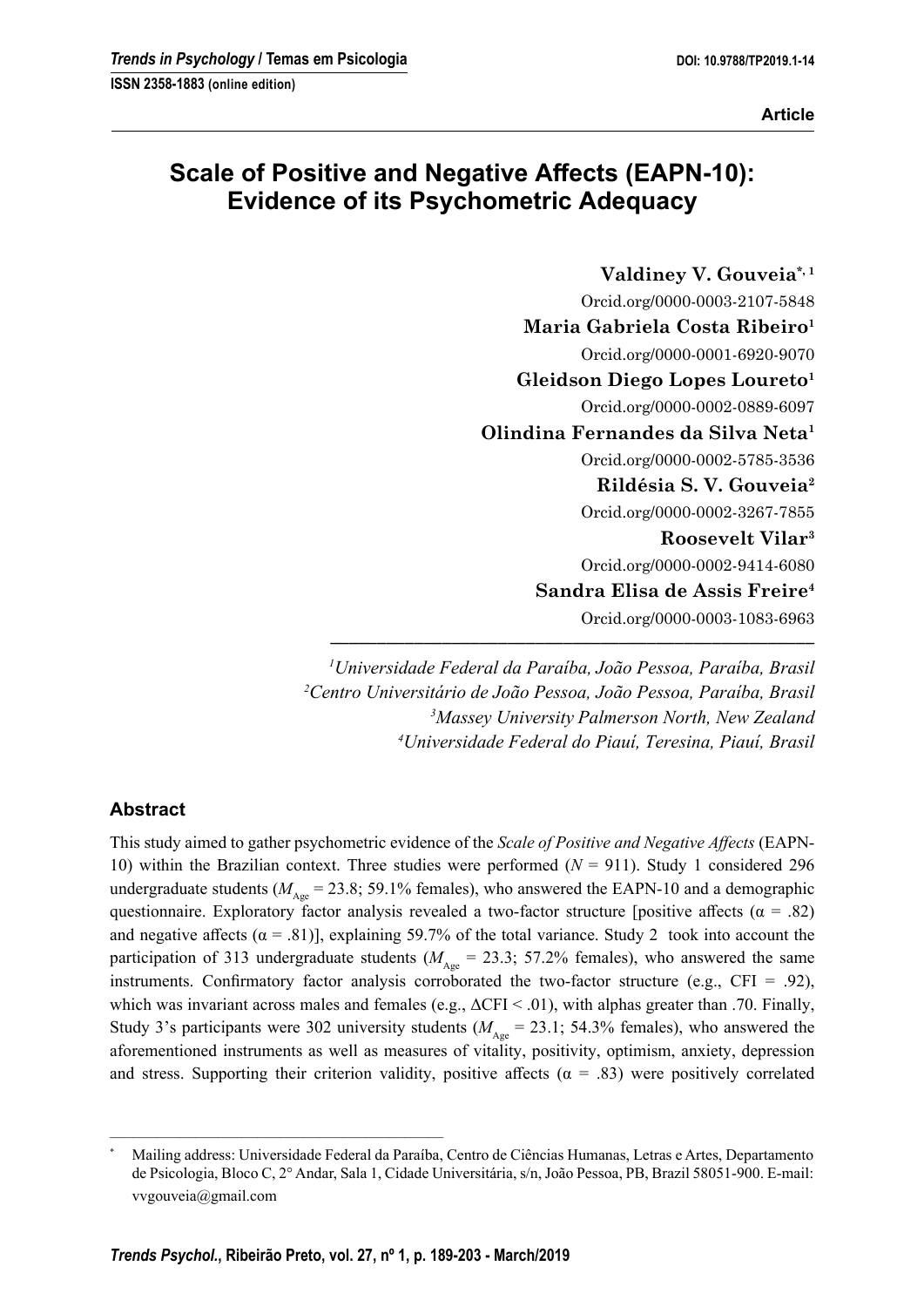# **Scale of Positive and Negative Affects (EAPN-10): Evidence of its Psychometric Adequacy**

**Valdiney V. Gouveia\*, 1** Orcid.org/0000-0003-2107-5848 **Maria Gabriela Costa Ribeiro1** Orcid.org/0000-0001-6920-9070 **Gleidson Diego Lopes Loureto1** Orcid.org/0000-0002-0889-6097 **Olindina Fernandes da Silva Neta1** Orcid.org/0000-0002-5785-3536 **Rildésia S. V. Gouveia2** Orcid.org/0000-0002-3267-7855 **Roosevelt Vilar3** Orcid.org/0000-0002-9414-6080 **Sandra Elisa de Assis Freire4** Orcid.org/0000-0003-1083-6963

 *Universidade Federal da Paraíba, João Pessoa, Paraíba, Brasil Centro Universitário de João Pessoa, João Pessoa, Paraíba, Brasil Massey University Palmerson North, New Zealand Universidade Federal do Piauí, Teresina, Piauí, Brasil*

**––––––––––––––––––––––––––––––––––––––––––––––––––––**

# **Abstract**

This study aimed to gather psychometric evidence of the *Scale of Positive and Negative Aff ects* (EAPN-10) within the Brazilian context. Three studies were performed (*N* = 911). Study 1 considered 296 undergraduate students ( $M_{A_{\text{one}}}$  = 23.8; 59.1% females), who answered the EAPN-10 and a demographic questionnaire. Exploratory factor analysis revealed a two-factor structure [positive affects ( $\alpha = .82$ ) and negative affects ( $\alpha$  = .81)], explaining 59.7% of the total variance. Study 2 took into account the participation of 313 undergraduate students ( $M_{A_{\text{one}}}$  = 23.3; 57.2% females), who answered the same instruments. Confirmatory factor analysis corroborated the two-factor structure (e.g., CFI = .92), which was invariant across males and females (e.g.,  $\Delta$ CFI < .01), with alphas greater than .70. Finally, Study 3's participants were 302 university students ( $M_{A_{\text{one}}}$  = 23.1; 54.3% females), who answered the aforementioned instruments as well as measures of vitality, positivity, optimism, anxiety, depression and stress. Supporting their criterion validity, positive affects ( $\alpha = .83$ ) were positively correlated

–––––––––––––––––––––––––––––––––––––––––––

<sup>\*</sup> Mailing address: Universidade Federal da Paraíba, Centro de Ciências Humanas, Letras e Artes, Departamento de Psicologia, Bloco C, 2° Andar, Sala 1, Cidade Universitária, s/n, João Pessoa, PB, Brazil 58051-900. E-mail: vvgouveia@gmail.com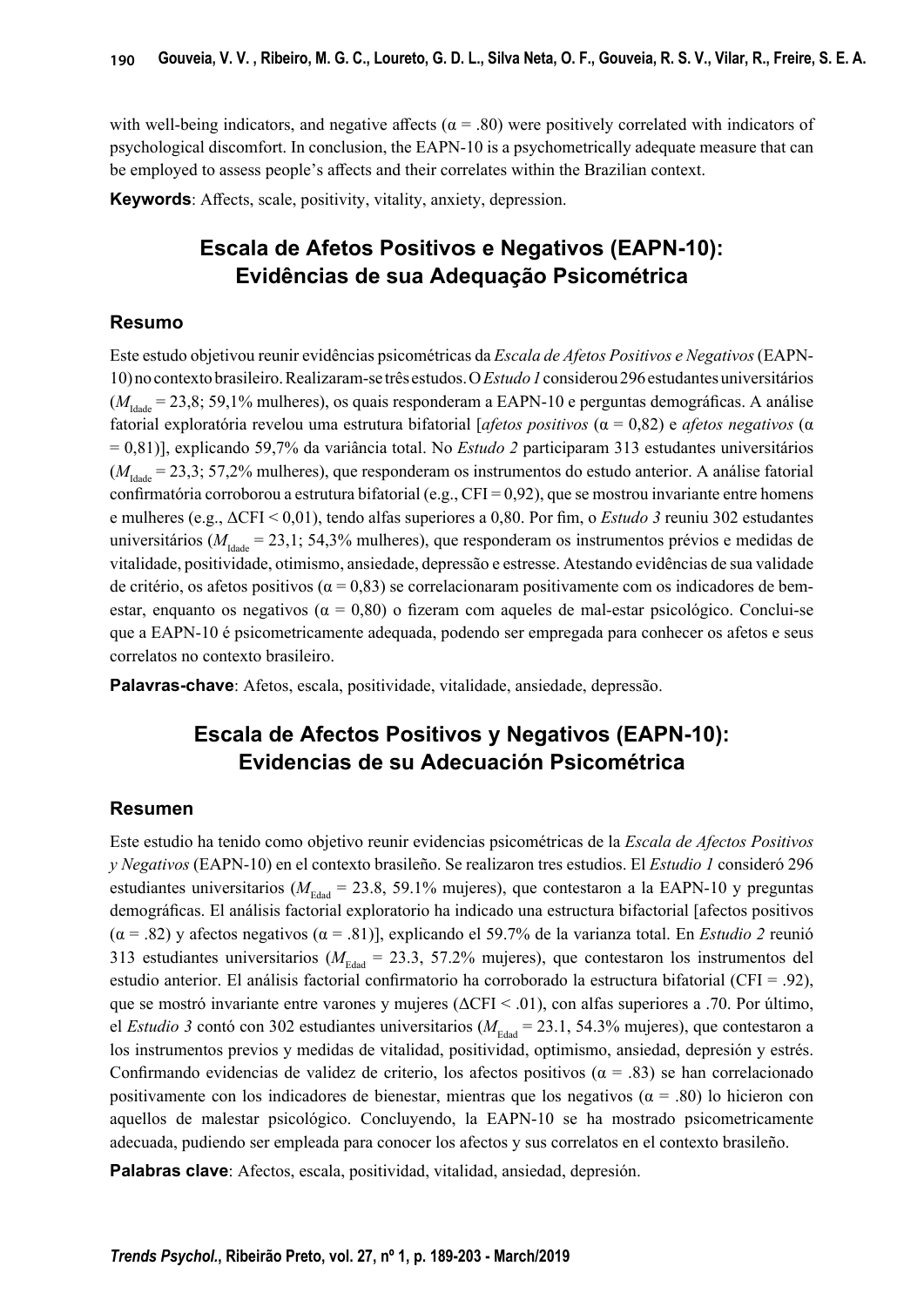with well-being indicators, and negative affects ( $\alpha$  = .80) were positively correlated with indicators of psychological discomfort. In conclusion, the EAPN-10 is a psychometrically adequate measure that can be employed to assess people's affects and their correlates within the Brazilian context.

**Keywords:** Affects, scale, positivity, vitality, anxiety, depression.

# **Escala de Afetos Positivos e Negativos (EAPN-10): Evidências de sua Adequação Psicométrica**

## **Resumo**

Este estudo objetivou reunir evidências psicométricas da *Escala de Afetos Positivos e Negativos* (EAPN-10) no contextobrasileiro. Realizaram-se três estudos. O *Estudo 1* considerou 296 estudantes universitários ( $M<sub>lode</sub> = 23,8; 59,1%$  mulheres), os quais responderam a EAPN-10 e perguntas demográficas. A análise fatorial exploratória revelou uma estrutura bifatorial [*afetos positivos* (α = 0,82) e *afetos negativos* (α = 0,81)], explicando 59,7% da variância total. No *Estudo 2* participaram 313 estudantes universitários  $(M<sub>1dd</sub> = 23.3; 57.2%$  mulheres), que responderam os instrumentos do estudo anterior. A análise fatorial confirmatória corroborou a estrutura bifatorial (e.g., CFI =  $0.92$ ), que se mostrou invariante entre homens e mulheres (e.g., ΔCFI < 0,01), tendo alfas superiores a 0,80. Por fim, o *Estudo 3* reuniu 302 estudantes universitários ( $M_{\text{Iddg}} = 23,1$ ; 54,3% mulheres), que responderam os instrumentos prévios e medidas de vitalidade, positividade, otimismo, ansiedade, depressão e estresse. Atestando evidências de sua validade de critério, os afetos positivos (α = 0,83) se correlacionaram positivamente com os indicadores de bemestar, enquanto os negativos ( $\alpha = 0.80$ ) o fizeram com aqueles de mal-estar psicológico. Conclui-se que a EAPN-10 é psicometricamente adequada, podendo ser empregada para conhecer os afetos e seus correlatos no contexto brasileiro.

**Palavras-chave**: Afetos, escala, positividade, vitalidade, ansiedade, depressão.

# **Escala de Afectos Positivos y Negativos (EAPN-10): Evidencias de su Adecuación Psicométrica**

## **Resumen**

Este estudio ha tenido como objetivo reunir evidencias psicométricas de la *Escala de Afectos Positivos y Negativos* (EAPN-10) en el contexto brasileño. Se realizaron tres estudios. El *Estudio 1* consideró 296 estudiantes universitarios ( $M_{\text{Edad}}$  = 23.8, 59.1% mujeres), que contestaron a la EAPN-10 y preguntas demográficas. El análisis factorial exploratorio ha indicado una estructura bifactorial [afectos positivos (α = .82) y afectos negativos (α = .81)], explicando el 59.7% de la varianza total. En *Estudio 2* reunió 313 estudiantes universitarios ( $M_{\text{Edd}}$  = 23.3, 57.2% mujeres), que contestaron los instrumentos del estudio anterior. El análisis factorial confirmatorio ha corroborado la estructura bifatorial (CFI = .92), que se mostró invariante entre varones y mujeres (ΔCFI < .01), con alfas superiores a .70. Por último, el *Estudio 3* contó con 302 estudiantes universitarios ( $M_{\text{Edd}} = 23.1$ , 54.3% mujeres), que contestaron a los instrumentos previos y medidas de vitalidad, positividad, optimismo, ansiedad, depresión y estrés. Confirmando evidencias de validez de criterio, los afectos positivos ( $\alpha = .83$ ) se han correlacionado positivamente con los indicadores de bienestar, mientras que los negativos ( $\alpha$  = .80) lo hicieron con aquellos de malestar psicológico. Concluyendo, la EAPN-10 se ha mostrado psicometricamente adecuada, pudiendo ser empleada para conocer los afectos y sus correlatos en el contexto brasileño.

**Palabras clave**: Afectos, escala, positividad, vitalidad, ansiedad, depresión.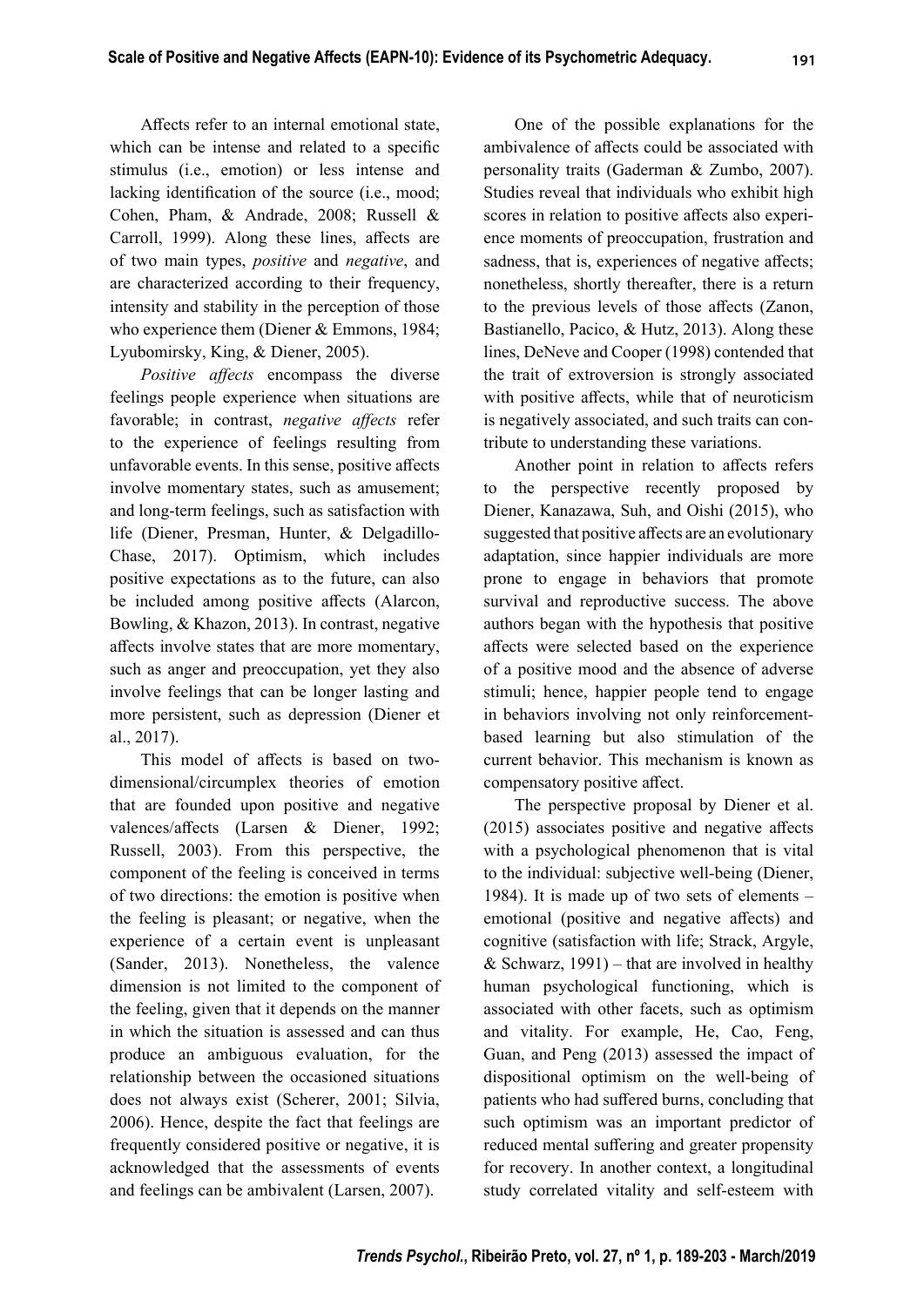Affects refer to an internal emotional state, which can be intense and related to a specific stimulus (i.e., emotion) or less intense and lacking identification of the source (i.e., mood; Cohen, Pham, & Andrade, 2008; Russell & Carroll, 1999). Along these lines, affects are of two main types, *positive* and *negative*, and are characterized according to their frequency, intensity and stability in the perception of those who experience them (Diener & Emmons, 1984; Lyubomirsky, King, & Diener, 2005).

*Positive affects* encompass the diverse feelings people experience when situations are favorable; in contrast, *negative affects* refer to the experience of feelings resulting from unfavorable events. In this sense, positive affects involve momentary states, such as amusement; and long-term feelings, such as satisfaction with life (Diener, Presman, Hunter, & Delgadillo-Chase, 2017). Optimism, which includes positive expectations as to the future, can also be included among positive affects (Alarcon, Bowling, & Khazon, 2013). In contrast, negative affects involve states that are more momentary, such as anger and preoccupation, yet they also involve feelings that can be longer lasting and more persistent, such as depression (Diener et al., 2017).

This model of affects is based on twodimensional/circumplex theories of emotion that are founded upon positive and negative valences/affects (Larsen & Diener, 1992; Russell, 2003). From this perspective, the component of the feeling is conceived in terms of two directions: the emotion is positive when the feeling is pleasant; or negative, when the experience of a certain event is unpleasant (Sander, 2013). Nonetheless, the valence dimension is not limited to the component of the feeling, given that it depends on the manner in which the situation is assessed and can thus produce an ambiguous evaluation, for the relationship between the occasioned situations does not always exist (Scherer, 2001; Silvia, 2006). Hence, despite the fact that feelings are frequently considered positive or negative, it is acknowledged that the assessments of events and feelings can be ambivalent (Larsen, 2007).

One of the possible explanations for the ambivalence of affects could be associated with personality traits (Gaderman & Zumbo, 2007). Studies reveal that individuals who exhibit high scores in relation to positive affects also experience moments of preoccupation, frustration and sadness, that is, experiences of negative affects; nonetheless, shortly thereafter, there is a return to the previous levels of those affects (Zanon, Bastianello, Pacico, & Hutz, 2013). Along these lines, DeNeve and Cooper (1998) contended that the trait of extroversion is strongly associated with positive affects, while that of neuroticism is negatively associated, and such traits can contribute to understanding these variations.

Another point in relation to affects refers to the perspective recently proposed by Diener, Kanazawa, Suh, and Oishi (2015), who suggested that positive affects are an evolutionary adaptation, since happier individuals are more prone to engage in behaviors that promote survival and reproductive success. The above authors began with the hypothesis that positive affects were selected based on the experience of a positive mood and the absence of adverse stimuli; hence, happier people tend to engage in behaviors involving not only reinforcementbased learning but also stimulation of the current behavior. This mechanism is known as compensatory positive affect.

The perspective proposal by Diener et al.  $(2015)$  associates positive and negative affects with a psychological phenomenon that is vital to the individual: subjective well-being (Diener, 1984). It is made up of two sets of elements – emotional (positive and negative affects) and cognitive (satisfaction with life; Strack, Argyle, & Schwarz,  $1991$ ) – that are involved in healthy human psychological functioning, which is associated with other facets, such as optimism and vitality. For example, He, Cao, Feng, Guan, and Peng (2013) assessed the impact of dispositional optimism on the well-being of patients who had suffered burns, concluding that such optimism was an important predictor of reduced mental suffering and greater propensity for recovery. In another context, a longitudinal study correlated vitality and self-esteem with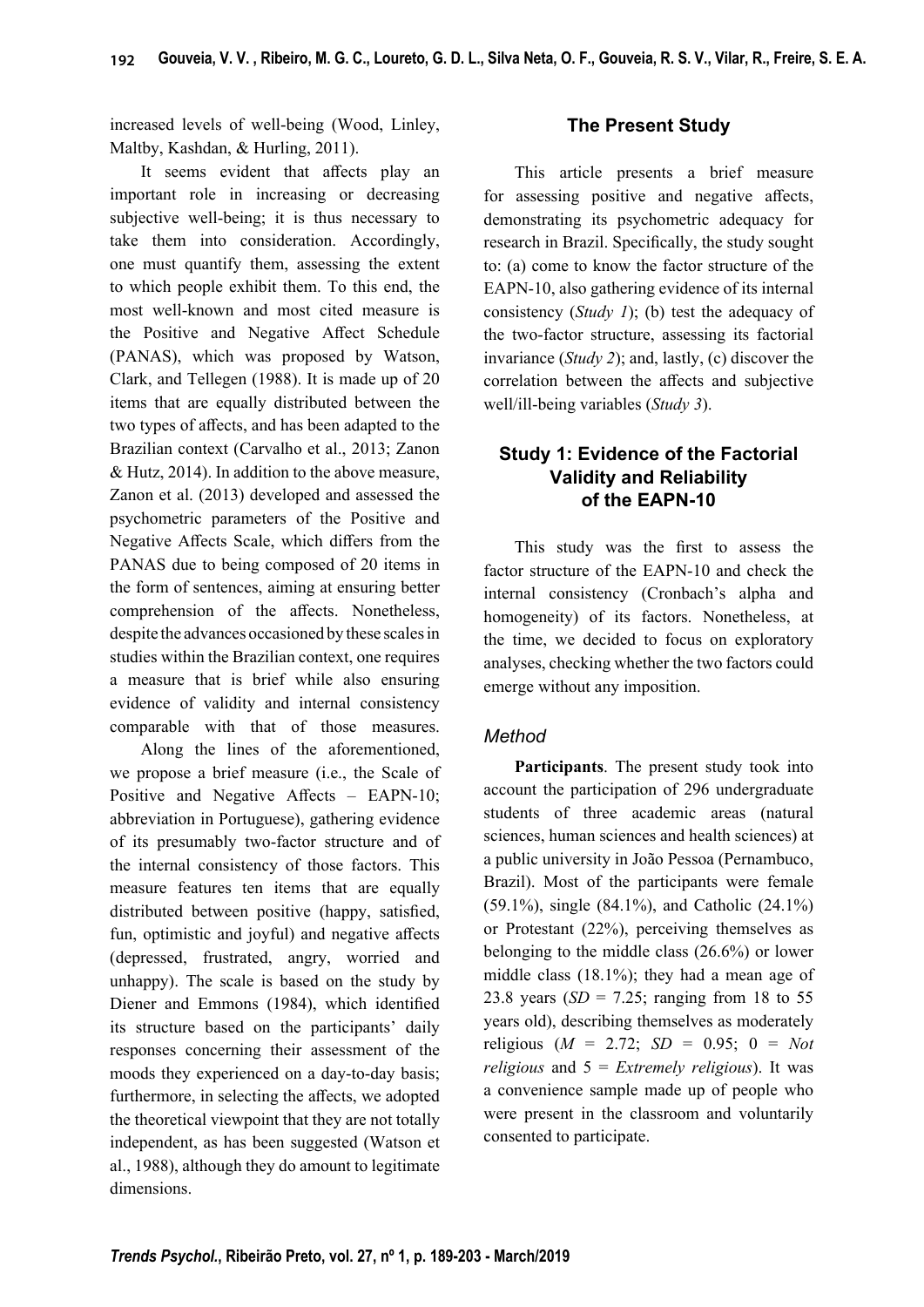increased levels of well-being (Wood, Linley, Maltby, Kashdan, & Hurling, 2011).

It seems evident that affects play an important role in increasing or decreasing subjective well-being; it is thus necessary to take them into consideration. Accordingly, one must quantify them, assessing the extent to which people exhibit them. To this end, the most well-known and most cited measure is the Positive and Negative Affect Schedule (PANAS), which was proposed by Watson, Clark, and Tellegen (1988). It is made up of 20 items that are equally distributed between the two types of affects, and has been adapted to the Brazilian context (Carvalho et al., 2013; Zanon & Hutz, 2014). In addition to the above measure, Zanon et al. (2013) developed and assessed the psychometric parameters of the Positive and Negative Affects Scale, which differs from the PANAS due to being composed of 20 items in the form of sentences, aiming at ensuring better comprehension of the affects. Nonetheless, despite the advances occasioned by these scales in studies within the Brazilian context, one requires a measure that is brief while also ensuring evidence of validity and internal consistency comparable with that of those measures.

Along the lines of the aforementioned, we propose a brief measure (i.e., the Scale of Positive and Negative Affects  $-$  EAPN-10; abbreviation in Portuguese), gathering evidence of its presumably two-factor structure and of the internal consistency of those factors. This measure features ten items that are equally distributed between positive (happy, satisfied, fun, optimistic and joyful) and negative affects (depressed, frustrated, angry, worried and unhappy). The scale is based on the study by Diener and Emmons (1984), which identified its structure based on the participants' daily responses concerning their assessment of the moods they experienced on a day-to-day basis; furthermore, in selecting the affects, we adopted the theoretical viewpoint that they are not totally independent, as has been suggested (Watson et al., 1988), although they do amount to legitimate dimensions.

## **The Present Study**

This article presents a brief measure for assessing positive and negative affects, demonstrating its psychometric adequacy for research in Brazil. Specifically, the study sought to: (a) come to know the factor structure of the EAPN-10, also gathering evidence of its internal consistency (*Study 1*); (b) test the adequacy of the two-factor structure, assessing its factorial invariance (*Study 2*); and, lastly, (c) discover the correlation between the affects and subjective well/ill-being variables (*Study 3*).

## **Study 1: Evidence of the Factorial Validity and Reliability of the EAPN-10**

This study was the first to assess the factor structure of the EAPN-10 and check the internal consistency (Cronbach's alpha and homogeneity) of its factors. Nonetheless, at the time, we decided to focus on exploratory analyses, checking whether the two factors could emerge without any imposition.

## *Method*

**Participants**. The present study took into account the participation of 296 undergraduate students of three academic areas (natural sciences, human sciences and health sciences) at a public university in João Pessoa (Pernambuco, Brazil). Most of the participants were female (59.1%), single (84.1%), and Catholic (24.1%) or Protestant (22%), perceiving themselves as belonging to the middle class (26.6%) or lower middle class (18.1%); they had a mean age of 23.8 years (*SD* = 7.25; ranging from 18 to 55 years old), describing themselves as moderately religious ( $M = 2.72$ ;  $SD = 0.95$ ;  $0 = Not$ *religious* and 5 = *Extremely religious*). It was a convenience sample made up of people who were present in the classroom and voluntarily consented to participate.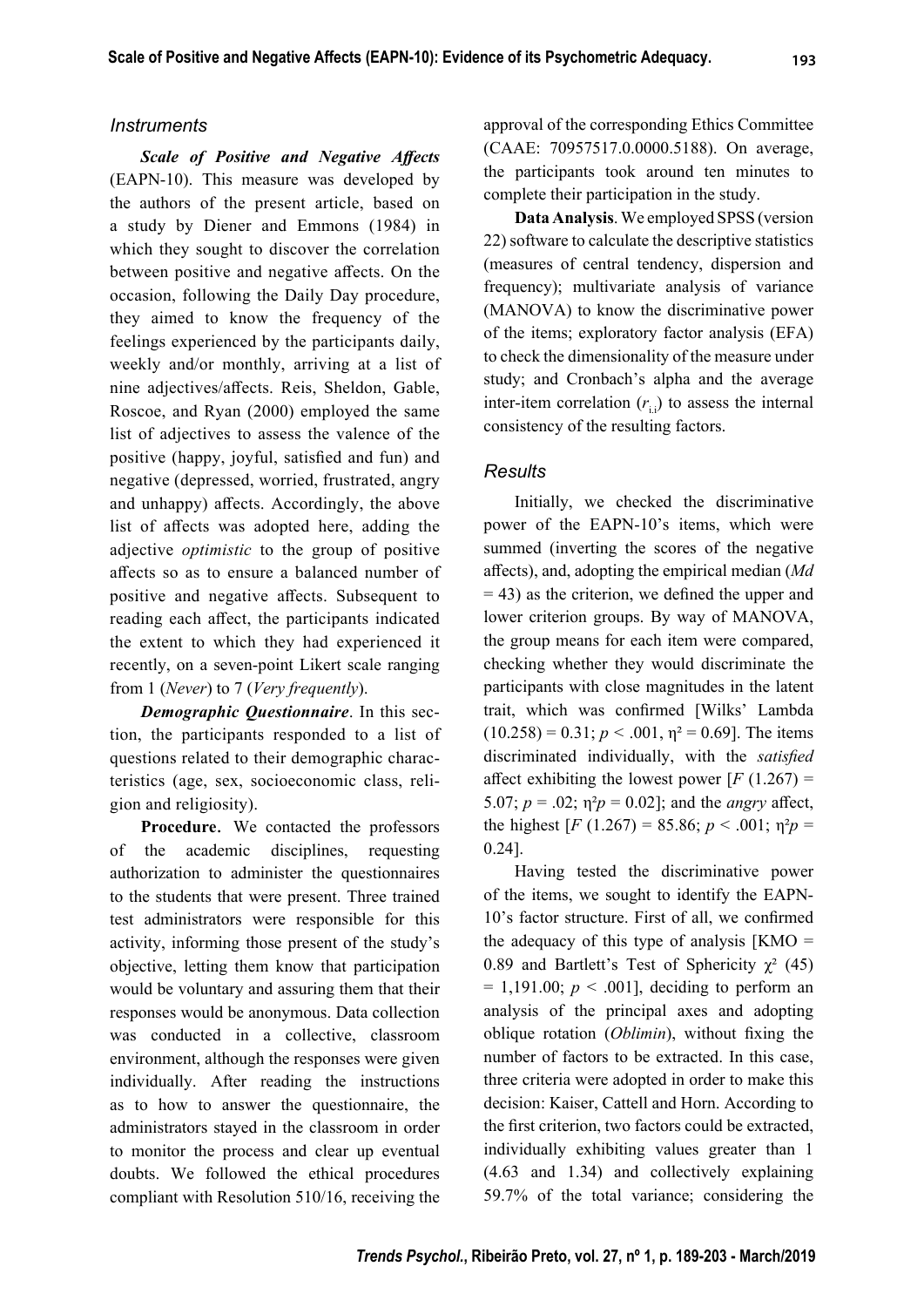#### *Instruments*

**Scale of Positive and Negative Affects** (EAPN-10). This measure was developed by the authors of the present article, based on a study by Diener and Emmons (1984) in which they sought to discover the correlation between positive and negative affects. On the occasion, following the Daily Day procedure, they aimed to know the frequency of the feelings experienced by the participants daily, weekly and/or monthly, arriving at a list of nine adjectives/affects. Reis, Sheldon, Gable, Roscoe, and Ryan (2000) employed the same list of adjectives to assess the valence of the positive (happy, joyful, satisfied and fun) and negative (depressed, worried, frustrated, angry and unhappy) affects. Accordingly, the above list of affects was adopted here, adding the adjective *optimistic* to the group of positive aff ects so as to ensure a balanced number of positive and negative affects. Subsequent to reading each affect, the participants indicated the extent to which they had experienced it recently, on a seven-point Likert scale ranging from 1 (*Never*) to 7 (*Very frequently*).

*Demographic Questionnaire*. In this section, the participants responded to a list of questions related to their demographic characteristics (age, sex, socioeconomic class, religion and religiosity).

**Procedure**. We contacted the professors of the academic disciplines, requesting authorization to administer the questionnaires to the students that were present. Three trained test administrators were responsible for this activity, informing those present of the study's objective, letting them know that participation would be voluntary and assuring them that their responses would be anonymous. Data collection was conducted in a collective, classroom environment, although the responses were given individually. After reading the instructions as to how to answer the questionnaire, the administrators stayed in the classroom in order to monitor the process and clear up eventual doubts. We followed the ethical procedures compliant with Resolution 510/16, receiving the

approval of the corresponding Ethics Committee (CAAE: 70957517.0.0000.5188). On average, the participants took around ten minutes to complete their participation in the study.

**Data Analysis**. We employed SPSS (version 22) software to calculate the descriptive statistics (measures of central tendency, dispersion and frequency); multivariate analysis of variance (MANOVA) to know the discriminative power of the items; exploratory factor analysis (EFA) to check the dimensionality of the measure under study; and Cronbach's alpha and the average inter-item correlation  $(r_i)$  to assess the internal consistency of the resulting factors.

## *Results*

Initially, we checked the discriminative power of the EAPN-10's items, which were summed (inverting the scores of the negative aff ects), and, adopting the empirical median (*Md*  $= 43$ ) as the criterion, we defined the upper and lower criterion groups. By way of MANOVA, the group means for each item were compared, checking whether they would discriminate the participants with close magnitudes in the latent trait, which was confirmed [Wilks' Lambda  $(10.258) = 0.31$ ;  $p < .001$ ,  $\eta^2 = 0.69$ ]. The items discriminated individually, with the *satisfied* affect exhibiting the lowest power  $[F(1.267) =$ 5.07;  $p = .02$ ;  $\eta^2 p = 0.02$ ]; and the *angry* affect, the highest  $[F (1.267) = 85.86; p < .001; \eta^2 p =$ 0.24].

Having tested the discriminative power of the items, we sought to identify the EAPN-10's factor structure. First of all, we confirmed the adequacy of this type of analysis  $[KMO =$ 0.89 and Bartlett's Test of Sphericity  $\chi^2$  (45)  $= 1,191.00$ ;  $p < .001$ ], deciding to perform an analysis of the principal axes and adopting oblique rotation (*Oblimin*), without fixing the number of factors to be extracted. In this case, three criteria were adopted in order to make this decision: Kaiser, Cattell and Horn. According to the first criterion, two factors could be extracted, individually exhibiting values greater than 1 (4.63 and 1.34) and collectively explaining 59.7% of the total variance; considering the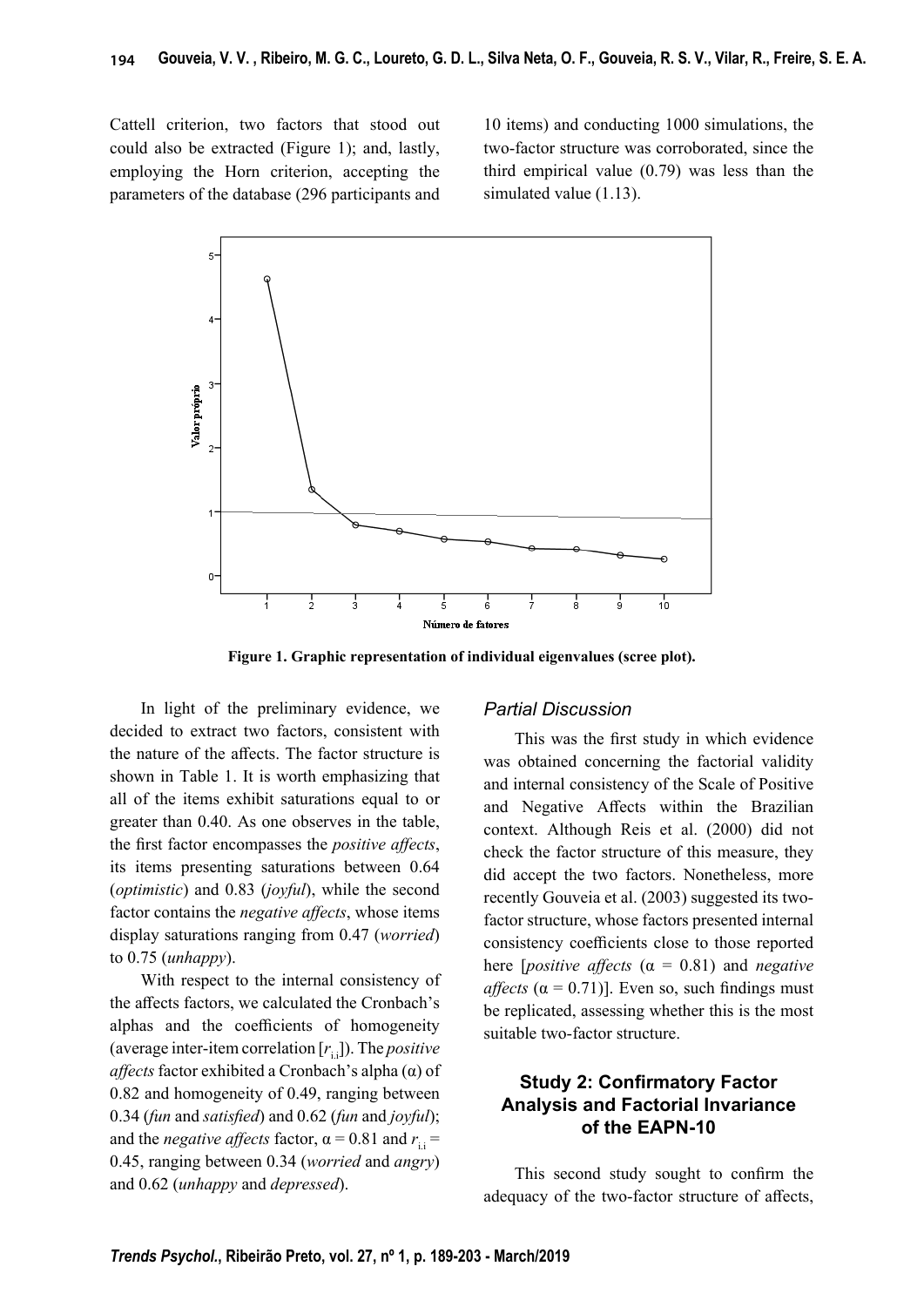Cattell criterion, two factors that stood out could also be extracted (Figure 1); and, lastly, employing the Horn criterion, accepting the parameters of the database (296 participants and

10 items) and conducting 1000 simulations, the two-factor structure was corroborated, since the third empirical value (0.79) was less than the simulated value (1.13).



**Figure 1. Graphic representation of individual eigenvalues (scree plot).**

In light of the preliminary evidence, we decided to extract two factors, consistent with the nature of the affects. The factor structure is shown in Table 1. It is worth emphasizing that all of the items exhibit saturations equal to or greater than 0.40. As one observes in the table, the first factor encompasses the *positive affects*, its items presenting saturations between 0.64 (*optimistic*) and 0.83 (*joyful*), while the second factor contains the *negative affects*, whose items display saturations ranging from 0.47 (*worried*) to 0.75 (*unhappy*).

With respect to the internal consistency of the affects factors, we calculated the Cronbach's alphas and the coefficients of homogeneity (average inter-item correlation  $[r_{i.}]$ ). The *positive aff ects* factor exhibited a Cronbach's alpha (α) of 0.82 and homogeneity of 0.49, ranging between 0.34 (*fun* and *satisfied*) and 0.62 (*fun* and *joyful*); and the *negative affects* factor,  $\alpha = 0.81$  and  $r_{\text{i}} =$ 0.45, ranging between 0.34 (*worried* and *angry*) and 0.62 (*unhappy* and *depressed*).

## *Partial Discussion*

This was the first study in which evidence was obtained concerning the factorial validity and internal consistency of the Scale of Positive and Negative Affects within the Brazilian context. Although Reis et al. (2000) did not check the factor structure of this measure, they did accept the two factors. Nonetheless, more recently Gouveia et al. (2003) suggested its twofactor structure, whose factors presented internal consistency coefficients close to those reported here *[positive affects*  $(\alpha = 0.81)$  and *negative affects* ( $\alpha$  = 0.71)]. Even so, such findings must be replicated, assessing whether this is the most suitable two-factor structure.

## **Study 2: Confirmatory Factor Analysis and Factorial Invariance of the EAPN-10**

This second study sought to confirm the adequacy of the two-factor structure of affects,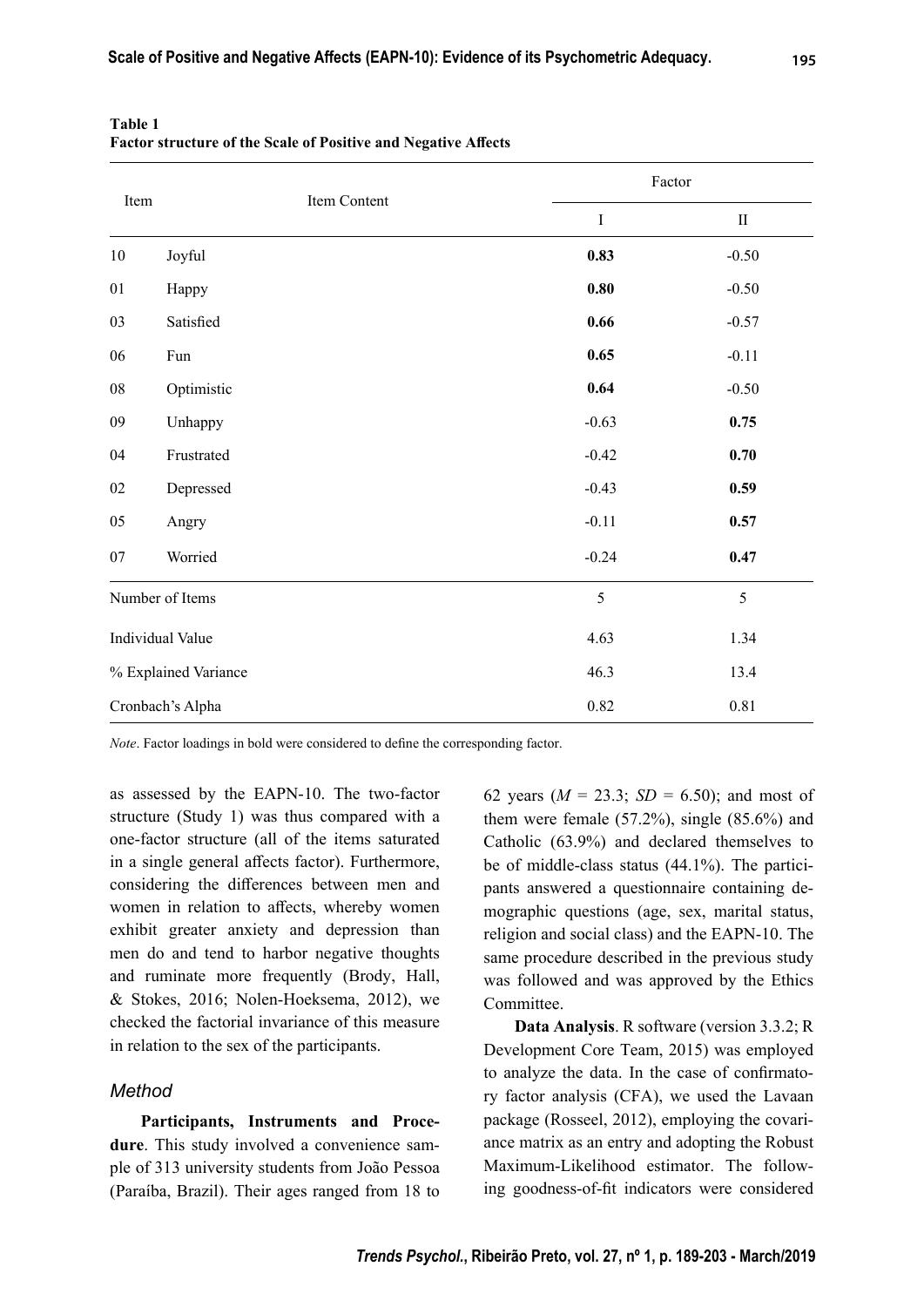| Item                 |              |                     | Factor   |  |  |
|----------------------|--------------|---------------------|----------|--|--|
|                      | Item Content | $\bf I$             | $\rm II$ |  |  |
| $10\,$               | Joyful       | 0.83                | $-0.50$  |  |  |
| 01                   | Happy        | $\boldsymbol{0.80}$ | $-0.50$  |  |  |
| 03                   | Satisfied    | 0.66                | $-0.57$  |  |  |
| 06                   | Fun          | 0.65                | $-0.11$  |  |  |
| ${\bf 08}$           | Optimistic   | 0.64                | $-0.50$  |  |  |
| 09                   | Unhappy      | $-0.63$             | 0.75     |  |  |
| 04                   | Frustrated   | $-0.42$             | 0.70     |  |  |
| $02\,$               | Depressed    | $-0.43$             | 0.59     |  |  |
| $05\,$               | Angry        | $-0.11$             | 0.57     |  |  |
| 07                   | Worried      | $-0.24$             | 0.47     |  |  |
| Number of Items      |              | 5                   | 5        |  |  |
| Individual Value     |              | 4.63                | 1.34     |  |  |
| % Explained Variance |              | 46.3                | 13.4     |  |  |
| Cronbach's Alpha     |              | $0.82\,$            | $0.81\,$ |  |  |

**Table 1** Factor structure of the Scale of Positive and Negative Affects

*Note*. Factor loadings in bold were considered to define the corresponding factor.

as assessed by the EAPN-10. The two-factor structure (Study 1) was thus compared with a one-factor structure (all of the items saturated in a single general affects factor). Furthermore, considering the differences between men and women in relation to affects, whereby women exhibit greater anxiety and depression than men do and tend to harbor negative thoughts and ruminate more frequently (Brody, Hall, & Stokes, 2016; Nolen-Hoeksema, 2012), we checked the factorial invariance of this measure in relation to the sex of the participants.

## *Method*

**Participants, Instruments and Procedure**. This study involved a convenience sample of 313 university students from João Pessoa (Paraíba, Brazil). Their ages ranged from 18 to 62 years  $(M = 23.3; SD = 6.50)$ ; and most of them were female (57.2%), single (85.6%) and Catholic (63.9%) and declared themselves to be of middle-class status (44.1%). The participants answered a questionnaire containing demographic questions (age, sex, marital status, religion and social class) and the EAPN-10. The same procedure described in the previous study was followed and was approved by the Ethics Committee.

**Data Analysis**. R software (version 3.3.2; R Development Core Team, 2015) was employed to analyze the data. In the case of confirmatory factor analysis (CFA), we used the Lavaan package (Rosseel, 2012), employing the covariance matrix as an entry and adopting the Robust Maximum-Likelihood estimator. The following goodness-of-fit indicators were considered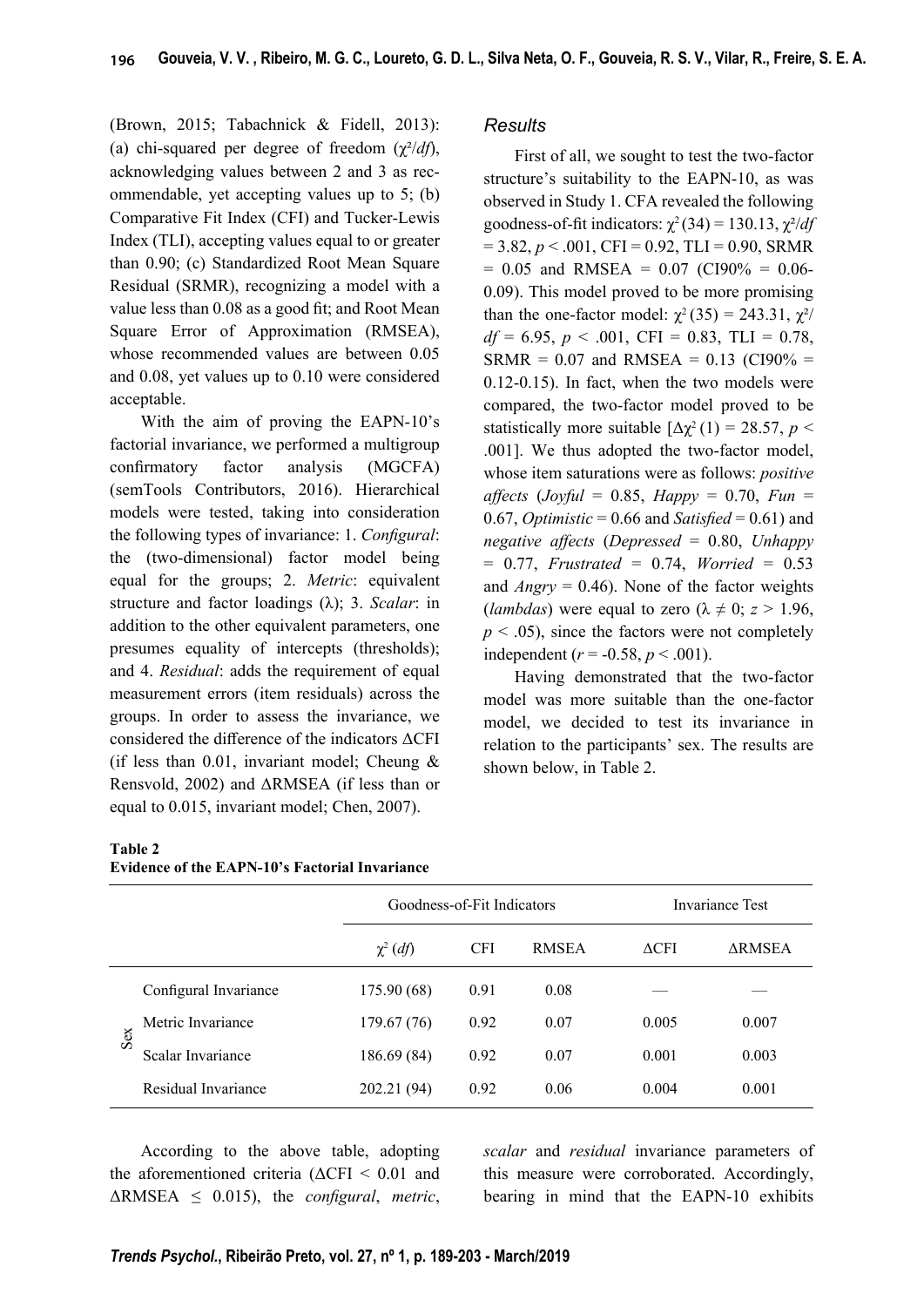(Brown, 2015; Tabachnick & Fidell, 2013): (a) chi-squared per degree of freedom  $(\chi^2/df)$ , acknowledging values between 2 and 3 as recommendable, yet accepting values up to 5; (b) Comparative Fit Index (CFI) and Tucker-Lewis Index (TLI), accepting values equal to or greater than 0.90; (c) Standardized Root Mean Square Residual (SRMR), recognizing a model with a value less than 0.08 as a good fit; and Root Mean Square Error of Approximation (RMSEA), whose recommended values are between 0.05 and 0.08, yet values up to 0.10 were considered acceptable.

With the aim of proving the EAPN-10's factorial invariance, we performed a multigroup confirmatory factor analysis (MGCFA) (semTools Contributors, 2016). Hierarchical models were tested, taking into consideration the following types of invariance: 1. *Configural*: the (two-dimensional) factor model being equal for the groups; 2. *Metric*: equivalent structure and factor loadings (λ); 3. *Scalar*: in addition to the other equivalent parameters, one presumes equality of intercepts (thresholds); and 4. *Residual*: adds the requirement of equal measurement errors (item residuals) across the groups. In order to assess the invariance, we considered the difference of the indicators  $\Delta$ CFI (if less than  $0.01$ , invariant model; Cheung & Rensvold, 2002) and ΔRMSEA (if less than or equal to 0.015, invariant model; Chen, 2007).

## *Results*

First of all, we sought to test the two-factor structure's suitability to the EAPN-10, as was observed in Study 1. CFA revealed the following goodness-of-fit indicators:  $\chi^2$  (34) = 130.13,  $\chi^2/df$  $= 3.82, p < .001, CFI = 0.92, TLI = 0.90, SRMR$  $= 0.05$  and RMSEA  $= 0.07$  (CI90%  $= 0.06$ -0.09). This model proved to be more promising than the one-factor model:  $\chi^2$  (35) = 243.31,  $\chi^2$ /  $df = 6.95, p < .001, CFI = 0.83, TLI = 0.78,$  $SRMR = 0.07$  and  $RMSEA = 0.13$  (CI90% = 0.12-0.15). In fact, when the two models were compared, the two-factor model proved to be statistically more suitable  $[\Delta \chi^2(1) = 28.57, p <$ .001]. We thus adopted the two-factor model, whose item saturations were as follows: *positive*   $a$ *ffects* (*Joyful* = 0.85, *Happy* = 0.70, *Fun* = 0.67, *Optimistic* = 0.66 and *Satisfied* = 0.61) and *negative aff ects* (*Depressed* = 0.80, *Unhappy* = 0.77, *Frustrated* = 0.74, *Worried* = 0.53 and *Angry* = 0.46). None of the factor weights (*lambdas*) were equal to zero ( $\lambda \neq 0$ ;  $z > 1.96$ ,  $p < .05$ ), since the factors were not completely independent ( $r = -0.58$ ,  $p < .001$ ).

Having demonstrated that the two-factor model was more suitable than the one-factor model, we decided to test its invariance in relation to the participants' sex. The results are shown below, in Table 2.

#### **Table 2**

|     |                       | Goodness-of-Fit Indicators |            |              | Invariance Test |               |  |
|-----|-----------------------|----------------------------|------------|--------------|-----------------|---------------|--|
|     |                       | $\chi^2$ (df)              | <b>CFI</b> | <b>RMSEA</b> | $\triangle$ CFI | <b>ARMSEA</b> |  |
| Sex | Configural Invariance | 175.90 (68)                | 0.91       | 0.08         |                 |               |  |
|     | Metric Invariance     | 179.67 (76)                | 0.92       | 0.07         | 0.005           | 0.007         |  |
|     | Scalar Invariance     | 186.69 (84)                | 0.92       | 0.07         | 0.001           | 0.003         |  |
|     | Residual Invariance   | 202.21 (94)                | 0.92       | 0.06         | 0.004           | 0.001         |  |

According to the above table, adopting the aforementioned criteria ( $\Delta$ CFI < 0.01 and  $\triangle$ RMSEA  $\leq$  0.015), the *configural*, *metric*, *scalar* and *residual* invariance parameters of this measure were corroborated. Accordingly, bearing in mind that the EAPN-10 exhibits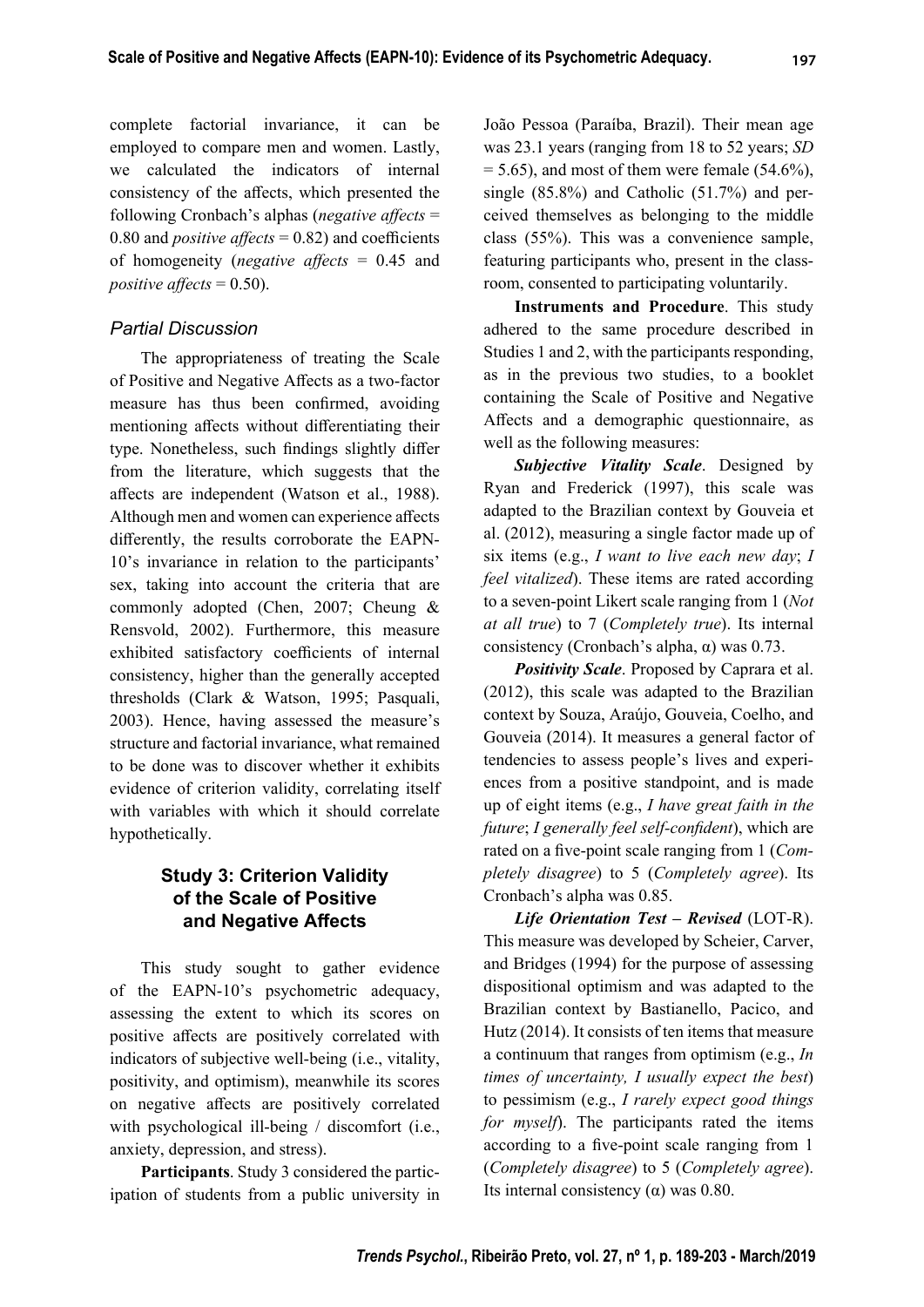complete factorial invariance, it can be employed to compare men and women. Lastly, we calculated the indicators of internal consistency of the affects, which presented the following Cronbach's alphas (*negative affects* = 0.80 and *positive*  $\text{affects} = 0.82$  and coefficients of homogeneity (*negative affects* = 0.45 and *positive affects* =  $0.50$ .

## *Partial Discussion*

The appropriateness of treating the Scale of Positive and Negative Affects as a two-factor measure has thus been confirmed, avoiding mentioning affects without differentiating their type. Nonetheless, such findings slightly differ from the literature, which suggests that the affects are independent (Watson et al., 1988). Although men and women can experience affects differently, the results corroborate the EAPN-10's invariance in relation to the participants' sex, taking into account the criteria that are commonly adopted (Chen, 2007; Cheung & Rensvold, 2002). Furthermore, this measure exhibited satisfactory coefficients of internal consistency, higher than the generally accepted thresholds (Clark & Watson, 1995; Pasquali, 2003). Hence, having assessed the measure's structure and factorial invariance, what remained to be done was to discover whether it exhibits evidence of criterion validity, correlating itself with variables with which it should correlate hypothetically.

## **Study 3: Criterion Validity of the Scale of Positive and Negative Affects**

This study sought to gather evidence of the EAPN-10's psychometric adequacy, assessing the extent to which its scores on positive affects are positively correlated with indicators of subjective well-being (i.e., vitality, positivity, and optimism), meanwhile its scores on negative affects are positively correlated with psychological ill-being / discomfort (i.e., anxiety, depression, and stress).

**Participants**. Study 3 considered the participation of students from a public university in João Pessoa (Paraíba, Brazil). Their mean age was 23.1 years (ranging from 18 to 52 years; *SD*  $= 5.65$ ), and most of them were female (54.6%), single (85.8%) and Catholic (51.7%) and perceived themselves as belonging to the middle class (55%). This was a convenience sample, featuring participants who, present in the classroom, consented to participating voluntarily.

**Instruments and Procedure**. This study adhered to the same procedure described in Studies 1 and 2, with the participants responding, as in the previous two studies, to a booklet containing the Scale of Positive and Negative Affects and a demographic questionnaire, as well as the following measures:

*Subjective Vitality Scale*. Designed by Ryan and Frederick (1997), this scale was adapted to the Brazilian context by Gouveia et al. (2012), measuring a single factor made up of six items (e.g., *I want to live each new day*; *I feel vitalized*). These items are rated according to a seven-point Likert scale ranging from 1 (*Not at all true*) to 7 (*Completely true*). Its internal consistency (Cronbach's alpha,  $\alpha$ ) was 0.73.

*Positivity Scale*. Proposed by Caprara et al. (2012), this scale was adapted to the Brazilian context by Souza, Araújo, Gouveia, Coelho, and Gouveia (2014). It measures a general factor of tendencies to assess people's lives and experiences from a positive standpoint, and is made up of eight items (e.g., *I have great faith in the future*; *I generally feel self-confident*), which are rated on a five-point scale ranging from 1 (*Completely disagree*) to 5 (*Completely agree*). Its Cronbach's alpha was 0.85.

*Life Orientation Test – Revised* (LOT-R). This measure was developed by Scheier, Carver, and Bridges (1994) for the purpose of assessing dispositional optimism and was adapted to the Brazilian context by Bastianello, Pacico, and Hutz (2014). It consists of ten items that measure a continuum that ranges from optimism (e.g., *In times of uncertainty, I usually expect the best*) to pessimism (e.g., *I rarely expect good things for myself*). The participants rated the items according to a five-point scale ranging from 1 (*Completely disagree*) to 5 (*Completely agree*). Its internal consistency ( $α$ ) was 0.80.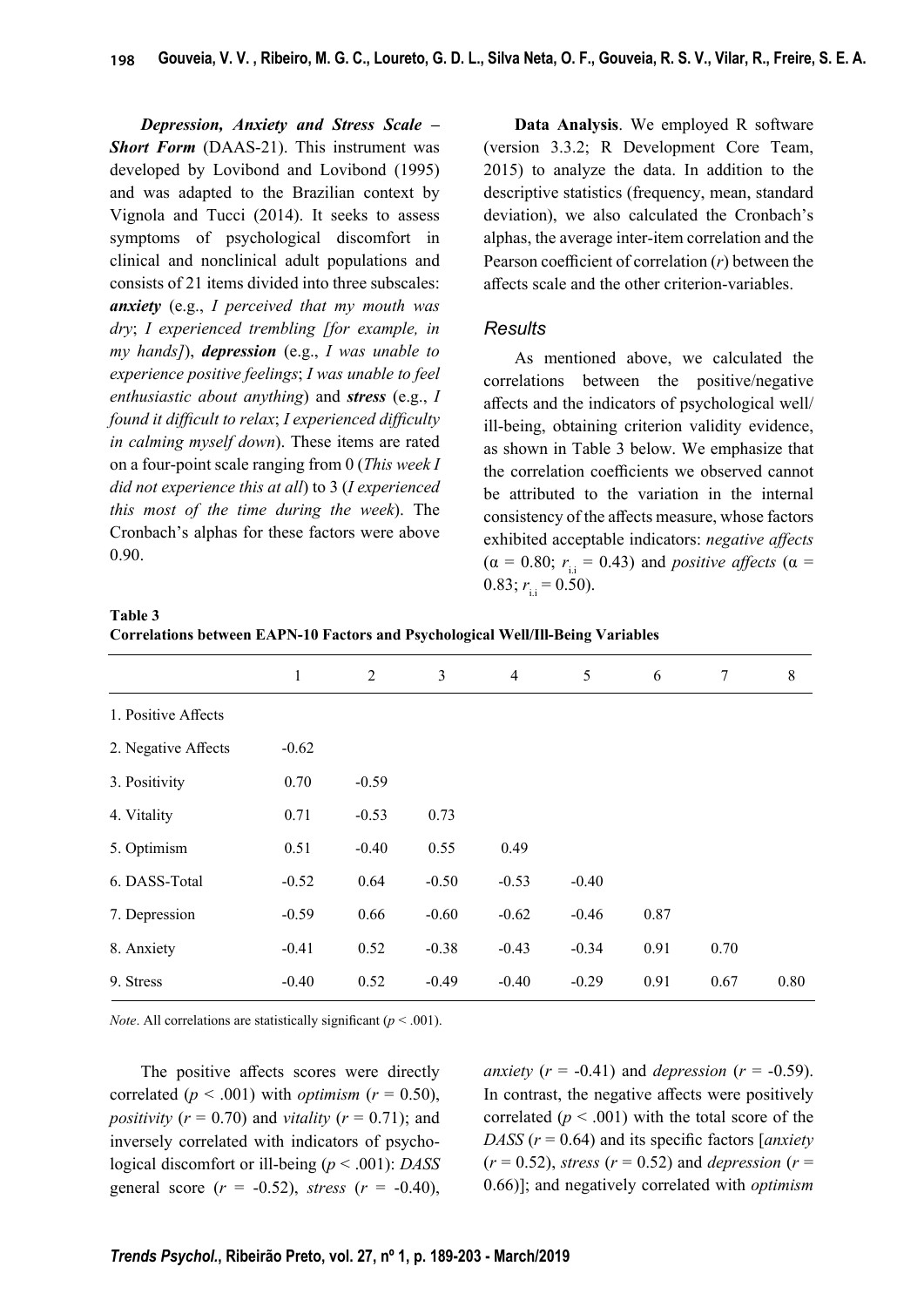*Depression, Anxiety and Stress Scale – Short Form* (DAAS-21). This instrument was developed by Lovibond and Lovibond (1995) and was adapted to the Brazilian context by Vignola and Tucci (2014). It seeks to assess symptoms of psychological discomfort in clinical and nonclinical adult populations and consists of 21 items divided into three subscales: *anxiety* (e.g., *I perceived that my mouth was dry*; *I experienced trembling [for example, in my hands]*), *depression* (e.g., *I was unable to experience positive feelings*; *I was unable to feel enthusiastic about anything*) and *stress* (e.g., *I found it diffi cult to relax*; *I experienced diffi culty in calming myself down*). These items are rated on a four-point scale ranging from 0 (*This week I did not experience this at all*) to 3 (*I experienced this most of the time during the week*). The Cronbach's alphas for these factors were above 0.90.

**Data Analysis**. We employed R software (version 3.3.2; R Development Core Team, 2015) to analyze the data. In addition to the descriptive statistics (frequency, mean, standard deviation), we also calculated the Cronbach's alphas, the average inter-item correlation and the Pearson coefficient of correlation  $(r)$  between the affects scale and the other criterion-variables.

### *Results*

As mentioned above, we calculated the correlations between the positive/negative aff ects and the indicators of psychological well/ ill-being, obtaining criterion validity evidence, as shown in Table 3 below. We emphasize that the correlation coefficients we observed cannot be attributed to the variation in the internal consistency of the affects measure, whose factors exhibited acceptable indicators: *negative affects*  $(\alpha = 0.80; r_{ii} = 0.43)$  and *positive affects* ( $\alpha =$  $0.83; r_{11} = 0.50$ .

| Table 3                                                                                |  |  |
|----------------------------------------------------------------------------------------|--|--|
| <b>Correlations between EAPN-10 Factors and Psychological Well/Ill-Being Variables</b> |  |  |

|                     | $\mathbf{1}$ | $\overline{2}$ | 3       | $\overline{4}$ | 5       | 6    | 7    | $8\,$ |
|---------------------|--------------|----------------|---------|----------------|---------|------|------|-------|
| 1. Positive Affects |              |                |         |                |         |      |      |       |
| 2. Negative Affects | $-0.62$      |                |         |                |         |      |      |       |
| 3. Positivity       | 0.70         | $-0.59$        |         |                |         |      |      |       |
| 4. Vitality         | 0.71         | $-0.53$        | 0.73    |                |         |      |      |       |
| 5. Optimism         | 0.51         | $-0.40$        | 0.55    | 0.49           |         |      |      |       |
| 6. DASS-Total       | $-0.52$      | 0.64           | $-0.50$ | $-0.53$        | $-0.40$ |      |      |       |
| 7. Depression       | $-0.59$      | 0.66           | $-0.60$ | $-0.62$        | $-0.46$ | 0.87 |      |       |
| 8. Anxiety          | $-0.41$      | 0.52           | $-0.38$ | $-0.43$        | $-0.34$ | 0.91 | 0.70 |       |
| 9. Stress           | $-0.40$      | 0.52           | $-0.49$ | $-0.40$        | $-0.29$ | 0.91 | 0.67 | 0.80  |
|                     |              |                |         |                |         |      |      |       |

*Note*. All correlations are statistically significant ( $p < .001$ ).

The positive affects scores were directly correlated ( $p < .001$ ) with *optimism* ( $r = 0.50$ ), *positivity*  $(r = 0.70)$  and *vitality*  $(r = 0.71)$ ; and inversely correlated with indicators of psychological discomfort or ill-being (*p* < .001): *DASS* general score  $(r = -0.52)$ , *stress*  $(r = -0.40)$ ,

*anxiety* ( $r = -0.41$ ) and *depression* ( $r = -0.59$ ). In contrast, the negative affects were positively correlated  $(p < .001)$  with the total score of the *DASS* ( $r = 0.64$ ) and its specific factors [*anxiety*  $(r = 0.52)$ , *stress*  $(r = 0.52)$  and *depression*  $(r = 0.52)$ 0.66)]; and negatively correlated with *optimism*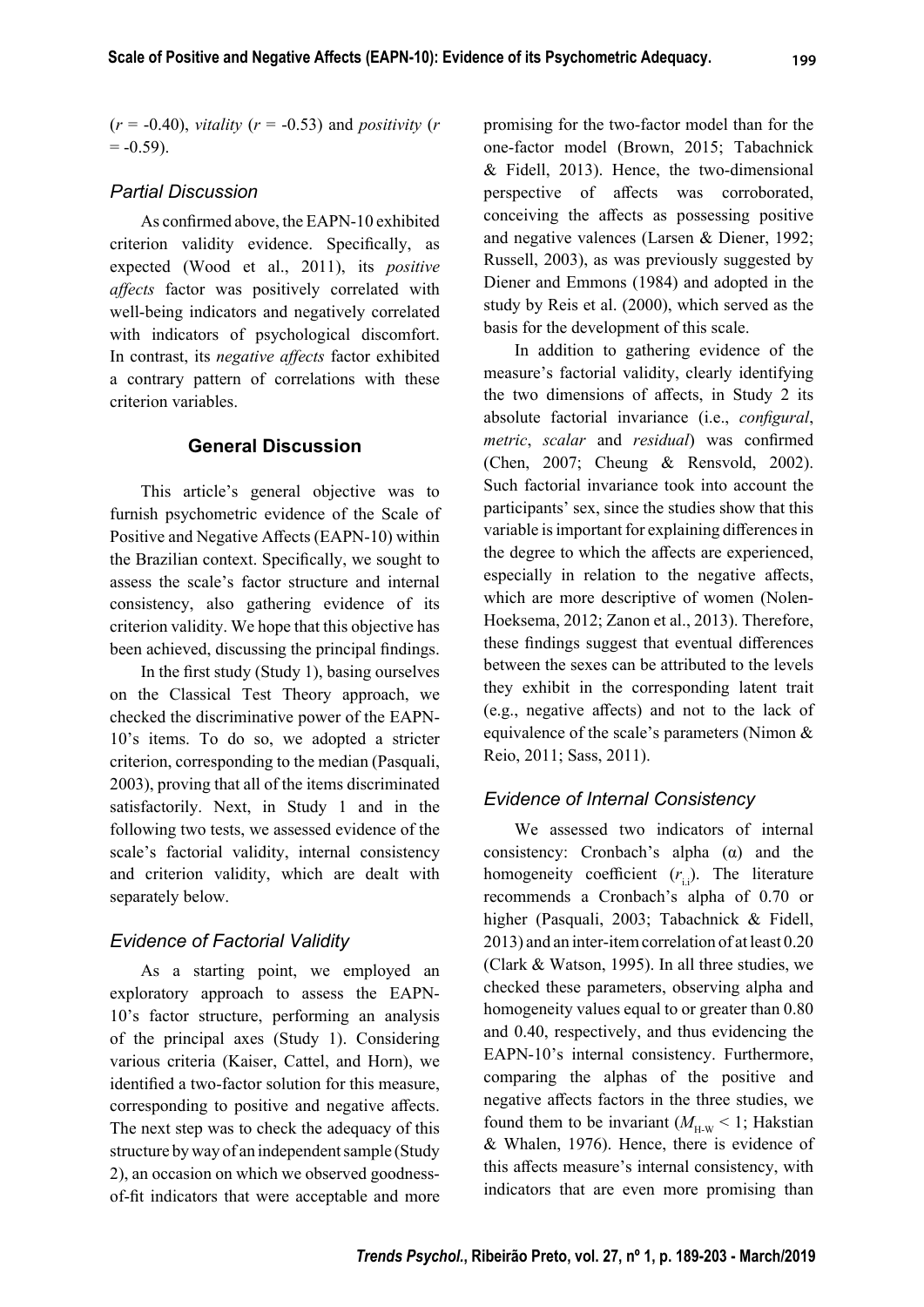$(r = -0.40)$ , *vitality*  $(r = -0.53)$  and *positivity*  $(r = -0.40)$  $= -0.59$ ).

## *Partial Discussion*

As confirmed above, the EAPN-10 exhibited criterion validity evidence. Specifically, as expected (Wood et al., 2011), its *positive affects* factor was positively correlated with well-being indicators and negatively correlated with indicators of psychological discomfort. In contrast, its *negative affects* factor exhibited a contrary pattern of correlations with these criterion variables.

## **General Discussion**

This article's general objective was to furnish psychometric evidence of the Scale of Positive and Negative Affects (EAPN-10) within the Brazilian context. Specifically, we sought to assess the scale's factor structure and internal consistency, also gathering evidence of its criterion validity. We hope that this objective has been achieved, discussing the principal findings.

In the first study (Study 1), basing ourselves on the Classical Test Theory approach, we checked the discriminative power of the EAPN-10's items. To do so, we adopted a stricter criterion, corresponding to the median (Pasquali, 2003), proving that all of the items discriminated satisfactorily. Next, in Study 1 and in the following two tests, we assessed evidence of the scale's factorial validity, internal consistency and criterion validity, which are dealt with separately below.

## *Evidence of Factorial Validity*

As a starting point, we employed an exploratory approach to assess the EAPN-10's factor structure, performing an analysis of the principal axes (Study 1). Considering various criteria (Kaiser, Cattel, and Horn), we identified a two-factor solution for this measure, corresponding to positive and negative affects. The next step was to check the adequacy of this structure by way of an independent sample (Study 2), an occasion on which we observed goodnessof-fit indicators that were acceptable and more

promising for the two-factor model than for the one-factor model (Brown, 2015; Tabachnick & Fidell, 2013). Hence, the two-dimensional perspective of affects was corroborated, conceiving the affects as possessing positive and negative valences (Larsen & Diener, 1992; Russell, 2003), as was previously suggested by Diener and Emmons (1984) and adopted in the study by Reis et al. (2000), which served as the basis for the development of this scale.

In addition to gathering evidence of the measure's factorial validity, clearly identifying the two dimensions of affects, in Study 2 its absolute factorial invariance (i.e., *configural*, *metric*, *scalar* and *residual*) was confirmed (Chen, 2007; Cheung & Rensvold, 2002). Such factorial invariance took into account the participants' sex, since the studies show that this variable is important for explaining differences in the degree to which the affects are experienced, especially in relation to the negative affects, which are more descriptive of women (Nolen-Hoeksema, 2012; Zanon et al., 2013). Therefore, these findings suggest that eventual differences between the sexes can be attributed to the levels they exhibit in the corresponding latent trait (e.g., negative affects) and not to the lack of equivalence of the scale's parameters (Nimon & Reio, 2011; Sass, 2011).

## *Evidence of Internal Consistency*

We assessed two indicators of internal consistency: Cronbach's alpha (α) and the homogeneity coefficient  $(r_{ij})$ . The literature recommends a Cronbach's alpha of 0.70 or higher (Pasquali, 2003; Tabachnick & Fidell, 2013) and an inter-item correlation of at least 0.20 (Clark & Watson, 1995). In all three studies, we checked these parameters, observing alpha and homogeneity values equal to or greater than 0.80 and 0.40, respectively, and thus evidencing the EAPN-10's internal consistency. Furthermore, comparing the alphas of the positive and negative affects factors in the three studies, we found them to be invariant  $(M<sub>H-W</sub> < 1$ ; Hakstian & Whalen, 1976). Hence, there is evidence of this affects measure's internal consistency, with indicators that are even more promising than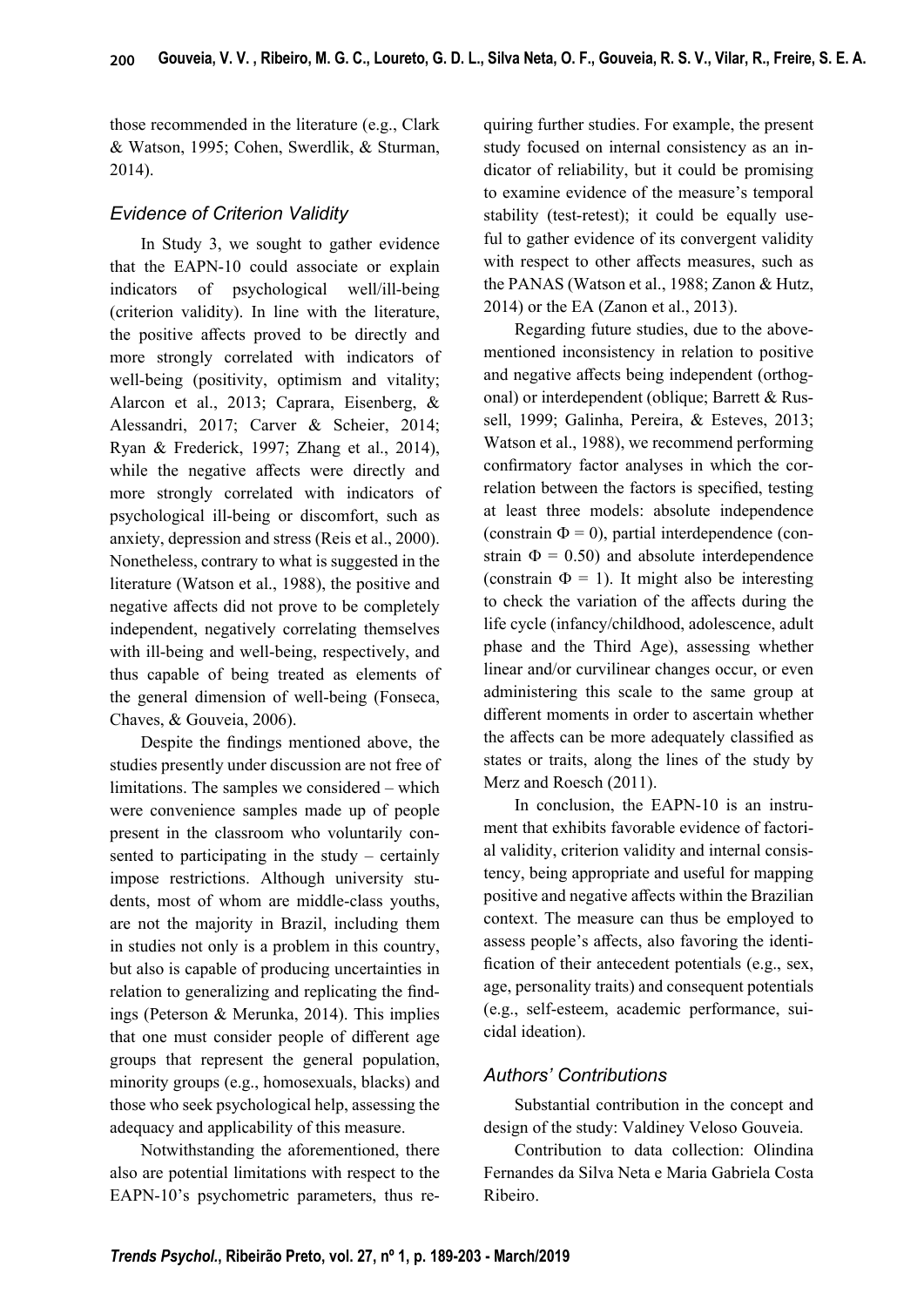those recommended in the literature (e.g., Clark & Watson, 1995; Cohen, Swerdlik, & Sturman, 2014).

## *Evidence of Criterion Validity*

In Study 3, we sought to gather evidence that the EAPN-10 could associate or explain indicators of psychological well/ill-being (criterion validity). In line with the literature, the positive affects proved to be directly and more strongly correlated with indicators of well-being (positivity, optimism and vitality; Alarcon et al., 2013; Caprara, Eisenberg, & Alessandri, 2017; Carver & Scheier, 2014; Ryan & Frederick, 1997; Zhang et al., 2014), while the negative affects were directly and more strongly correlated with indicators of psychological ill-being or discomfort, such as anxiety, depression and stress (Reis et al., 2000). Nonetheless, contrary to what is suggested in the literature (Watson et al., 1988), the positive and negative affects did not prove to be completely independent, negatively correlating themselves with ill-being and well-being, respectively, and thus capable of being treated as elements of the general dimension of well-being (Fonseca, Chaves, & Gouveia, 2006).

Despite the findings mentioned above, the studies presently under discussion are not free of limitations. The samples we considered – which were convenience samples made up of people present in the classroom who voluntarily consented to participating in the study – certainly impose restrictions. Although university students, most of whom are middle-class youths, are not the majority in Brazil, including them in studies not only is a problem in this country, but also is capable of producing uncertainties in relation to generalizing and replicating the findings (Peterson & Merunka, 2014). This implies that one must consider people of different age groups that represent the general population, minority groups (e.g., homosexuals, blacks) and those who seek psychological help, assessing the adequacy and applicability of this measure.

Notwithstanding the aforementioned, there also are potential limitations with respect to the EAPN-10's psychometric parameters, thus requiring further studies. For example, the present study focused on internal consistency as an indicator of reliability, but it could be promising to examine evidence of the measure's temporal stability (test-retest); it could be equally useful to gather evidence of its convergent validity with respect to other affects measures, such as the PANAS (Watson et al., 1988; Zanon & Hutz, 2014) or the EA (Zanon et al., 2013).

Regarding future studies, due to the abovementioned inconsistency in relation to positive and negative affects being independent (orthogonal) or interdependent (oblique; Barrett & Russell, 1999; Galinha, Pereira, & Esteves, 2013; Watson et al., 1988), we recommend performing confirmatory factor analyses in which the correlation between the factors is specified, testing at least three models: absolute independence (constrain  $\Phi = 0$ ), partial interdependence (constrain  $\Phi = 0.50$  and absolute interdependence (constrain  $\Phi = 1$ ). It might also be interesting to check the variation of the affects during the life cycle (infancy/childhood, adolescence, adult phase and the Third Age), assessing whether linear and/or curvilinear changes occur, or even administering this scale to the same group at different moments in order to ascertain whether the affects can be more adequately classified as states or traits, along the lines of the study by Merz and Roesch (2011).

In conclusion, the EAPN-10 is an instrument that exhibits favorable evidence of factorial validity, criterion validity and internal consistency, being appropriate and useful for mapping positive and negative affects within the Brazilian context. The measure can thus be employed to assess people's affects, also favoring the identification of their antecedent potentials (e.g., sex, age, personality traits) and consequent potentials (e.g., self-esteem, academic performance, suicidal ideation).

## *Authors' Contributions*

Substantial contribution in the concept and design of the study: Valdiney Veloso Gouveia.

Contribution to data collection: Olindina Fernandes da Silva Neta e Maria Gabriela Costa Ribeiro.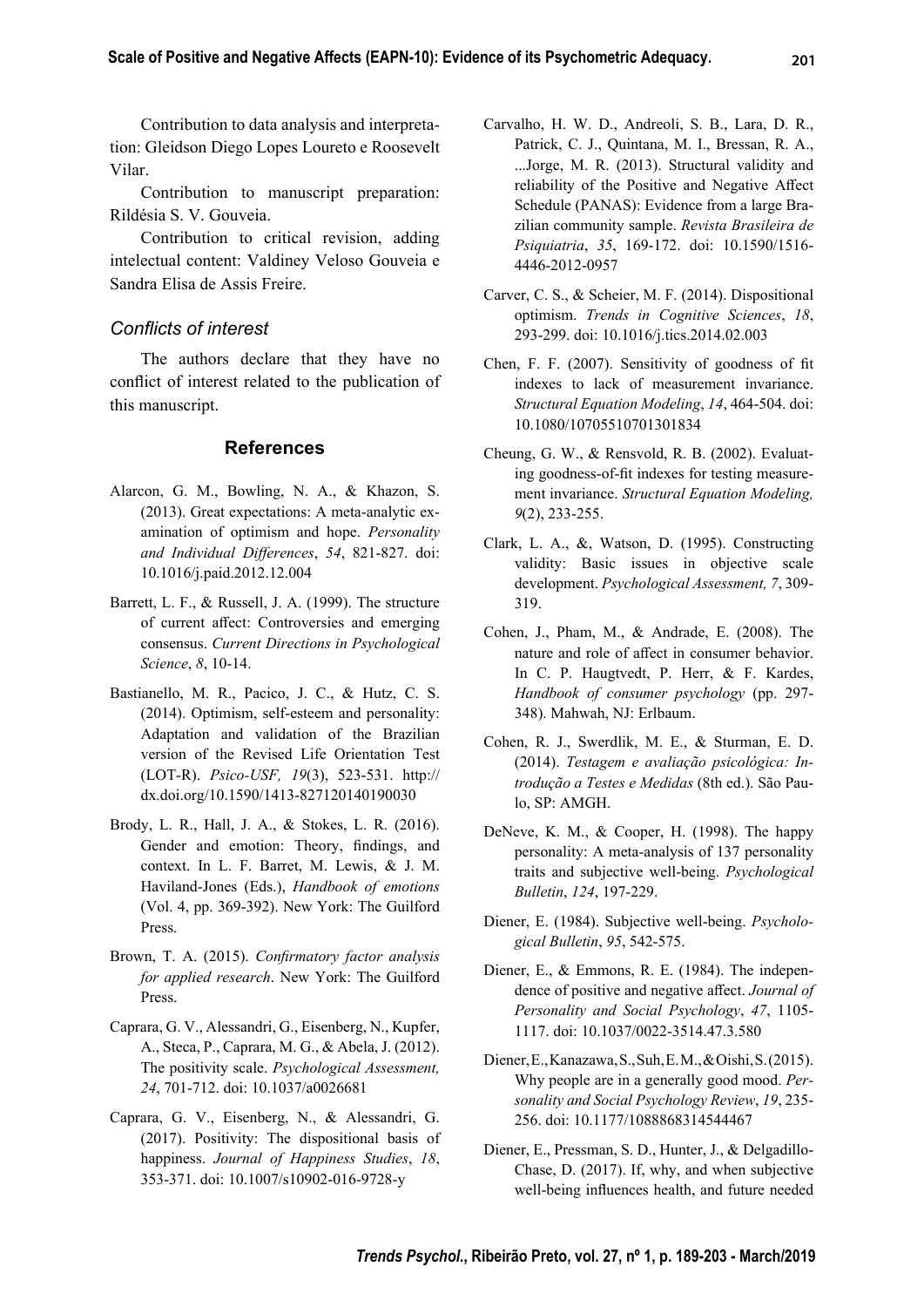Contribution to data analysis and interpretation: Gleidson Diego Lopes Loureto e Roosevelt Vilar.

Contribution to manuscript preparation: Rildésia S. V. Gouveia.

Contribution to critical revision, adding intelectual content: Valdiney Veloso Gouveia e Sandra Elisa de Assis Freire.

### *Confl icts of interest*

The authors declare that they have no conflict of interest related to the publication of this manuscript.

### **References**

- Alarcon, G. M., Bowling, N. A., & Khazon, S. (2013). Great expectations: A meta-analytic examination of optimism and hope. *Personality and Individual Diff erences*, *54*, 821-827. doi: 10.1016/j.paid.2012.12.004
- Barrett, L. F., & Russell, J. A. (1999). The structure of current affect: Controversies and emerging consensus. *Current Directions in Psychological Science*, *8*, 10-14.
- Bastianello, M. R., Pacico, J. C., & Hutz, C. S. (2014). Optimism, self-esteem and personality: Adaptation and validation of the Brazilian version of the Revised Life Orientation Test (LOT-R). *Psico-USF, 19*(3), 523-531. http:// dx.doi.org/10.1590/1413-827120140190030
- Brody, L. R., Hall, J. A., & Stokes, L. R. (2016). Gender and emotion: Theory, findings, and context. In L. F. Barret, M. Lewis, & J. M. Haviland-Jones (Eds.), *Handbook of emotions* (Vol. 4, pp. 369-392). New York: The Guilford Press.
- Brown, T. A. (2015). *Confirmatory factor analysis for applied research*. New York: The Guilford Press.
- Caprara, G. V., Alessandri, G., Eisenberg, N., Kupfer, A., Steca, P., Caprara, M. G., & Abela, J. (2012). The positivity scale. *Psychological Assessment, 24*, 701-712. doi: 10.1037/a0026681
- Caprara, G. V., Eisenberg, N., & Alessandri, G. (2017). Positivity: The dispositional basis of happiness. *Journal of Happiness Studies*, *18*, 353-371. doi: 10.1007/s10902-016-9728-y
- Carvalho, H. W. D., Andreoli, S. B., Lara, D. R., Patrick, C. J., Quintana, M. I., Bressan, R. A., ...Jorge, M. R. (2013). Structural validity and reliability of the Positive and Negative Affect Schedule (PANAS): Evidence from a large Brazilian community sample. *Revista Brasileira de Psiquiatria*, *35*, 169-172. doi: 10.1590/1516- 4446-2012-0957
- Carver, C. S., & Scheier, M. F. (2014). Dispositional optimism. *Trends in Cognitive Sciences*, *18*, 293-299. doi: 10.1016/j.tics.2014.02.003
- Chen, F. F. (2007). Sensitivity of goodness of fit indexes to lack of measurement invariance. *Structural Equation Modeling*, *14*, 464-504. doi: 10.1080/10705510701301834
- Cheung, G. W., & Rensvold, R. B. (2002). Evaluating goodness-of-fit indexes for testing measurement invariance. *Structural Equation Modeling, 9*(2), 233-255.
- Clark, L. A., &, Watson, D. (1995). Constructing validity: Basic issues in objective scale development. *Psychological Assessment, 7*, 309- 319.
- Cohen, J., Pham, M., & Andrade, E. (2008). The nature and role of affect in consumer behavior. In C. P. Haugtvedt, P. Herr, & F. Kardes, *Handbook of consumer psychology* (pp. 297- 348). Mahwah, NJ: Erlbaum.
- Cohen, R. J., Swerdlik, M. E., & Sturman, E. D. (2014). *Testagem e avaliação psicológica: Introdução a Testes e Medidas* (8th ed.). São Paulo, SP: AMGH.
- DeNeve, K. M., & Cooper, H. (1998). The happy personality: A meta-analysis of 137 personality traits and subjective well-being. *Psychological Bulletin*, *124*, 197-229.
- Diener, E. (1984). Subjective well-being. *Psychological Bulletin*, *95*, 542-575.
- Diener, E., & Emmons, R. E. (1984). The independence of positive and negative affect. Journal of *Personality and Social Psychology*, *47*, 1105- 1117. doi: 10.1037/0022-3514.47.3.580
- Diener, E., Kanazawa, S., Suh, E. M., & Oishi, S. (2015). Why people are in a generally good mood. *Personality and Social Psychology Review*, *19*, 235- 256. doi: 10.1177/1088868314544467
- Diener, E., Pressman, S. D., Hunter, J., & Delgadillo-Chase, D. (2017). If, why, and when subjective well-being influences health, and future needed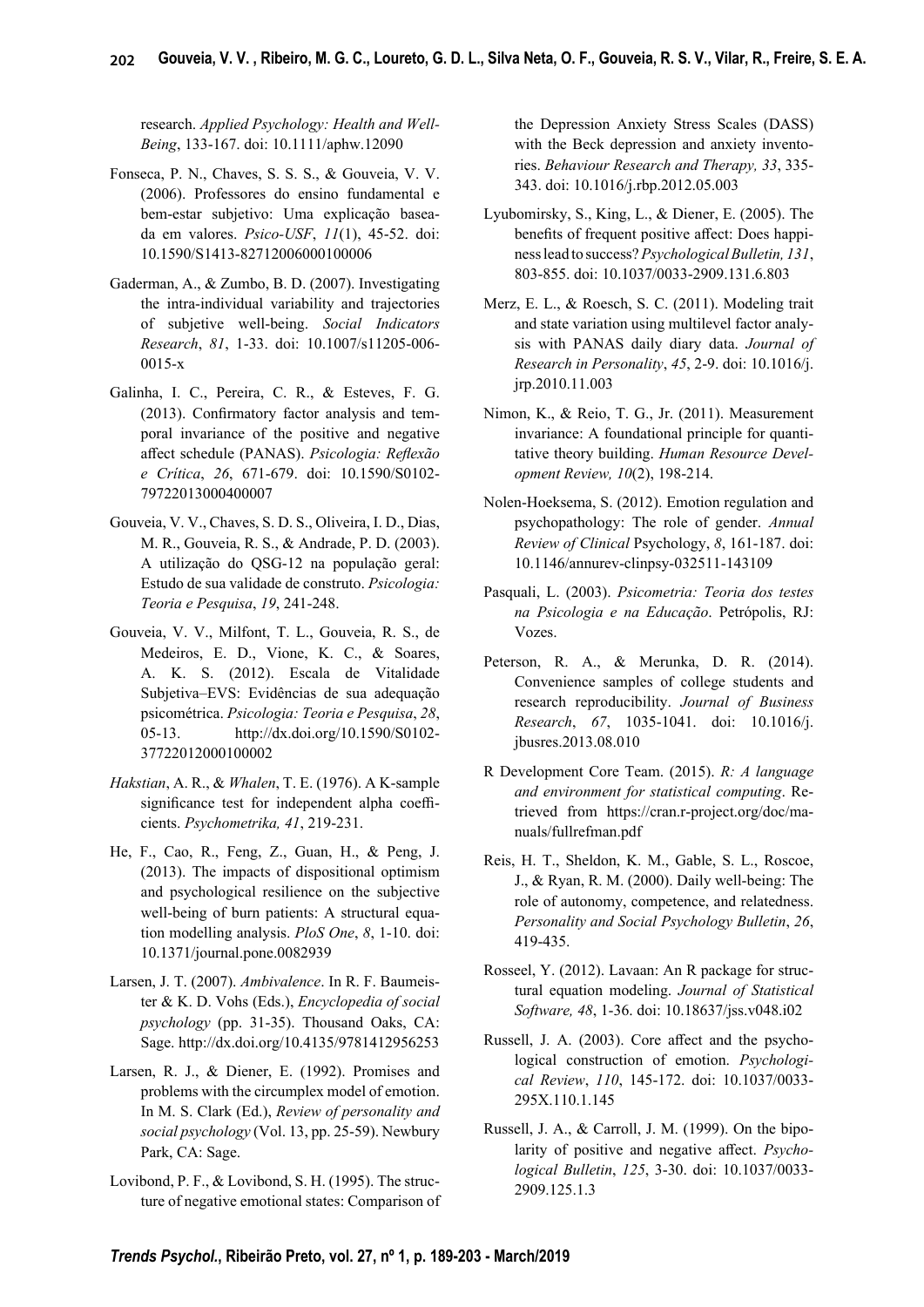research. *Applied Psychology: Health and Well-Being*, 133-167. doi: 10.1111/aphw.12090

- Fonseca, P. N., Chaves, S. S. S., & Gouveia, V. V. (2006). Professores do ensino fundamental e bem-estar subjetivo: Uma explicação baseada em valores. *Psico-USF*, *11*(1), 45-52. doi: 10.1590/S1413-82712006000100006
- Gaderman, A., & Zumbo, B. D. (2007). Investigating the intra-individual variability and trajectories of subjetive well-being. *Social Indicators Research*, *81*, 1-33. doi: 10.1007/s11205-006- 0015-x
- Galinha, I. C., Pereira, C. R., & Esteves, F. G.  $(2013)$ . Confirmatory factor analysis and temporal invariance of the positive and negative affect schedule (PANAS). Psicologia: Reflexão *e Crítica*, *26*, 671-679. doi: 10.1590/S0102- 79722013000400007
- Gouveia, V. V., Chaves, S. D. S., Oliveira, I. D., Dias, M. R., Gouveia, R. S., & Andrade, P. D. (2003). A utilização do QSG-12 na população geral: Estudo de sua validade de construto. *Psicologia: Teoria e Pesquisa*, *19*, 241-248.
- Gouveia, V. V., Milfont, T. L., Gouveia, R. S., de Medeiros, E. D., Vione, K. C., & Soares, A. K. S. (2012). Escala de Vitalidade Subjetiva–EVS: Evidências de sua adequação psicométrica. *Psicologia: Teoria e Pesquisa*, *28*, 05-13. http://dx.doi.org/10.1590/S0102- 37722012000100002
- *Hakstian*, A. R., & *Whalen*, T. E. (1976). A K-sample significance test for independent alpha coefficients. *Psychometrika, 41*, 219-231.
- He, F., Cao, R., Feng, Z., Guan, H., & Peng, J. (2013). The impacts of dispositional optimism and psychological resilience on the subjective well-being of burn patients: A structural equation modelling analysis. *PloS One*, *8*, 1-10. doi: 10.1371/journal.pone.0082939
- Larsen, J. T. (2007). *Ambivalence*. In R. F. Baumeister & K. D. Vohs (Eds.), *Encyclopedia of social psychology* (pp. 31-35). Thousand Oaks, CA: Sage. http://dx.doi.org/10.4135/9781412956253
- Larsen, R. J., & Diener, E. (1992). Promises and problems with the circumplex model of emotion. In M. S. Clark (Ed.), *Review of personality and social psychology* (Vol. 13, pp. 25-59). Newbury Park, CA: Sage.
- Lovibond, P. F., & Lovibond, S. H. (1995). The structure of negative emotional states: Comparison of

the Depression Anxiety Stress Scales (DASS) with the Beck depression and anxiety inventories. *Behaviour Research and Therapy, 33*, 335- 343. doi: 10.1016/j.rbp.2012.05.003

- Lyubomirsky, S., King, L., & Diener, E. (2005). The benefits of frequent positive affect: Does happiness lead to success? *Psychological Bulletin, 131*, 803-855. doi: 10.1037/0033-2909.131.6.803
- Merz, E. L., & Roesch, S. C. (2011). Modeling trait and state variation using multilevel factor analysis with PANAS daily diary data. *Journal of Research in Personality*, *45*, 2-9. doi: 10.1016/j. jrp.2010.11.003
- Nimon, K., & Reio, T. G., Jr. (2011). Measurement invariance: A foundational principle for quantitative theory building. *Human Resource Development Review, 10*(2), 198-214.
- Nolen-Hoeksema, S. (2012). Emotion regulation and psychopathology: The role of gender. *Annual Review of Clinical* Psychology, *8*, 161-187. doi: 10.1146/annurev-clinpsy-032511-143109
- Pasquali, L. (2003). *Psicometria: Teoria dos testes na Psicologia e na Educação*. Petrópolis, RJ: Vozes.
- Peterson, R. A., & Merunka, D. R. (2014). Convenience samples of college students and research reproducibility. *Journal of Business Research*, *67*, 1035-1041. doi: 10.1016/j. jbusres.2013.08.010
- R Development Core Team. (2015). *R: A language and environment for statistical computing*. Retrieved from https://cran.r-project.org/doc/manuals/fullrefman.pdf
- Reis, H. T., Sheldon, K. M., Gable, S. L., Roscoe, J., & Ryan, R. M. (2000). Daily well-being: The role of autonomy, competence, and relatedness. *Personality and Social Psychology Bulletin*, *26*, 419-435.
- Rosseel, Y. (2012). Lavaan: An R package for structural equation modeling. *Journal of Statistical Software, 48*, 1-36. doi: 10.18637/jss.v048.i02
- Russell, J. A. (2003). Core affect and the psychological construction of emotion. *Psychological Review*, *110*, 145-172. doi: 10.1037/0033- 295X.110.1.145
- Russell, J. A., & Carroll, J. M. (1999). On the bipolarity of positive and negative affect. *Psychological Bulletin*, *125*, 3-30. doi: 10.1037/0033- 2909.125.1.3